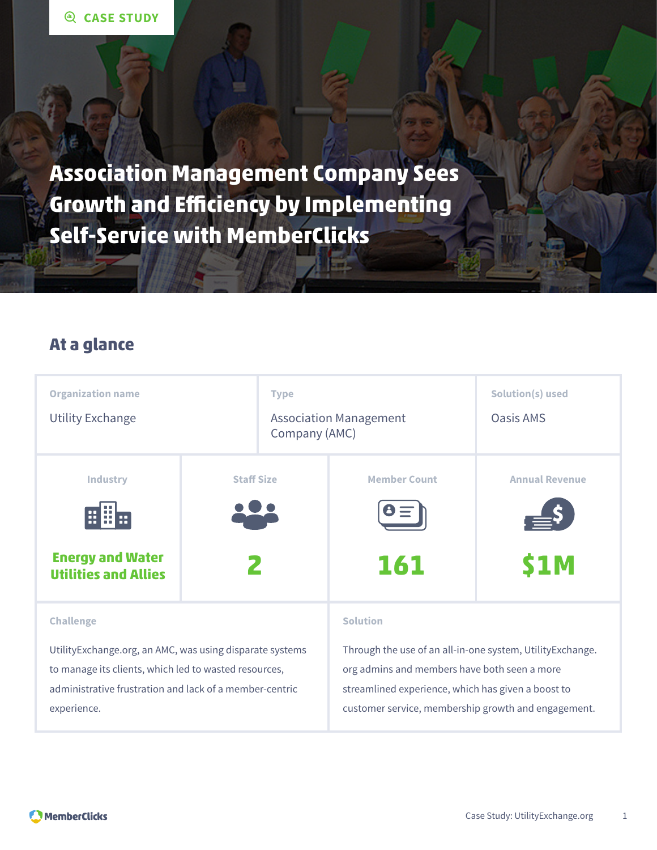**Association Management Company Sees Growth and Efficiency by Implementing Self-Service with MemberClicks**

### **At a glance**

| <b>Organization name</b>                                  |                   | <b>Type</b>                                    |                                                           | Solution(s) used      |
|-----------------------------------------------------------|-------------------|------------------------------------------------|-----------------------------------------------------------|-----------------------|
| <b>Utility Exchange</b>                                   |                   | <b>Association Management</b><br>Company (AMC) |                                                           | Oasis AMS             |
| <b>Industry</b>                                           | <b>Staff Size</b> |                                                | <b>Member Count</b>                                       | <b>Annual Revenue</b> |
|                                                           |                   |                                                |                                                           |                       |
| <b>Energy and Water</b><br><b>Utilities and Allies</b>    |                   |                                                | 161                                                       | <b>S1M</b>            |
| <b>Challenge</b>                                          |                   |                                                | <b>Solution</b>                                           |                       |
| Utility Exchange.org, an AMC, was using disparate systems |                   |                                                | Through the use of an all-in-one system, UtilityExchange. |                       |
| to manage its clients, which led to wasted resources,     |                   |                                                | org admins and members have both seen a more              |                       |
| administrative frustration and lack of a member-centric   |                   |                                                | streamlined experience, which has given a boost to        |                       |
| experience.                                               |                   |                                                | customer service, membership growth and engagement.       |                       |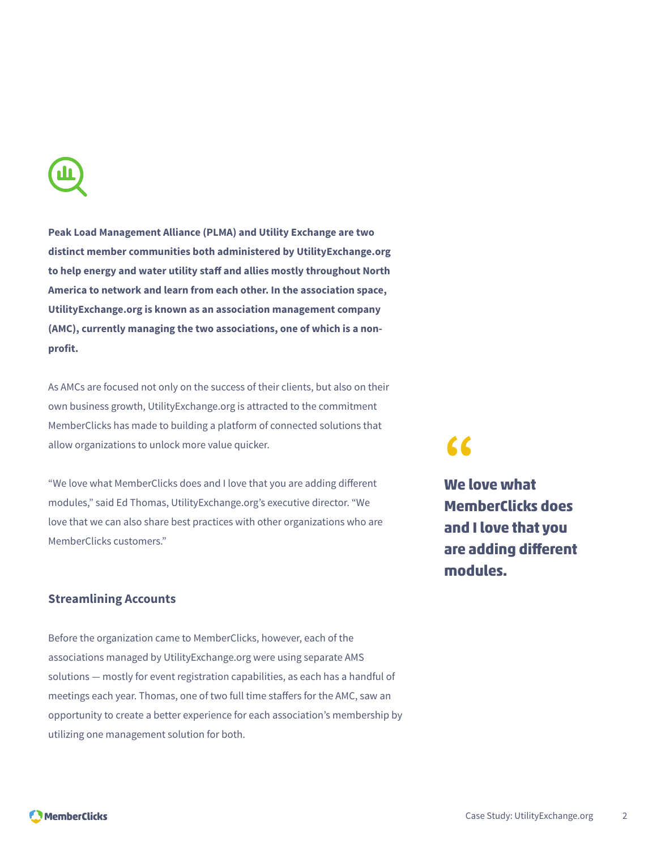

**Peak Load Management Alliance (PLMA) and Utility Exchange are two distinct member communities both administered by UtilityExchange.org to help energy and water utility staff and allies mostly throughout North America to network and learn from each other. In the association space, UtilityExchange.org is known as an association management company (AMC), currently managing the two associations, one of which is a nonprofit.**

As AMCs are focused not only on the success of their clients, but also on their own business growth, UtilityExchange.org is attracted to the commitment MemberClicks has made to building a platform of connected solutions that allow organizations to unlock more value quicker.

"We love what MemberClicks does and I love that you are adding different modules," said Ed Thomas, UtilityExchange.org's executive director. "We love that we can also share best practices with other organizations who are MemberClicks customers."

#### **Streamlining Accounts**

Before the organization came to MemberClicks, however, each of the associations managed by UtilityExchange.org were using separate AMS solutions — mostly for event registration capabilities, as each has a handful of meetings each year. Thomas, one of two full time staffers for the AMC, saw an opportunity to create a better experience for each association's membership by utilizing one management solution for both.

# **"**

**We love what MemberClicks does and I love that you are adding different modules.**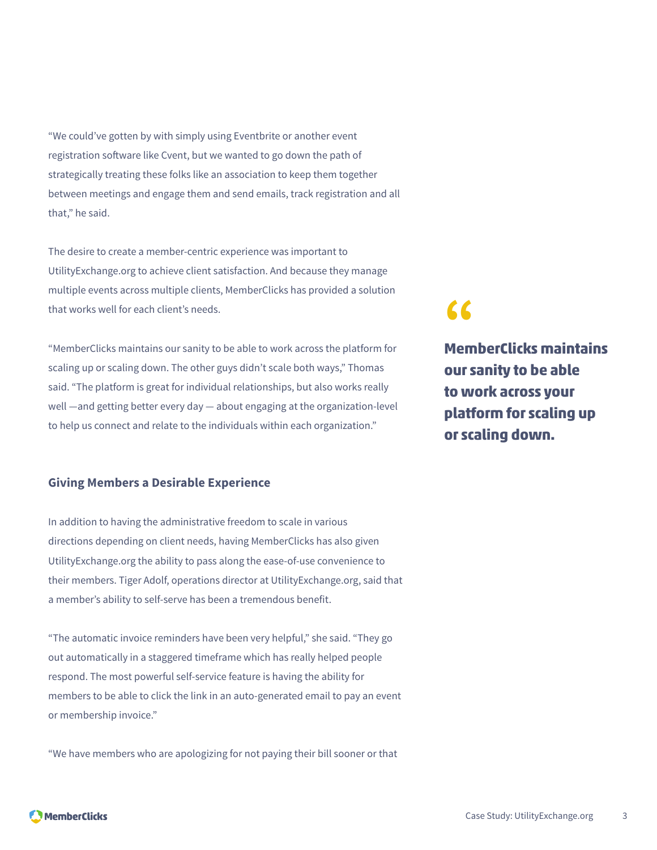"We could've gotten by with simply using Eventbrite or another event registration software like Cvent, but we wanted to go down the path of strategically treating these folks like an association to keep them together between meetings and engage them and send emails, track registration and all that," he said.

The desire to create a member-centric experience was important to UtilityExchange.org to achieve client satisfaction. And because they manage multiple events across multiple clients, MemberClicks has provided a solution that works well for each client's needs.

"MemberClicks maintains our sanity to be able to work across the platform for scaling up or scaling down. The other guys didn't scale both ways," Thomas said. "The platform is great for individual relationships, but also works really well —and getting better every day — about engaging at the organization-level to help us connect and relate to the individuals within each organization."

#### **Giving Members a Desirable Experience**

In addition to having the administrative freedom to scale in various directions depending on client needs, having MemberClicks has also given UtilityExchange.org the ability to pass along the ease-of-use convenience to their members. Tiger Adolf, operations director at UtilityExchange.org, said that a member's ability to self-serve has been a tremendous benefit.

"The automatic invoice reminders have been very helpful," she said. "They go out automatically in a staggered timeframe which has really helped people respond. The most powerful self-service feature is having the ability for members to be able to click the link in an auto-generated email to pay an event or membership invoice."

"We have members who are apologizing for not paying their bill sooner or that

**"**

**MemberClicks maintains our sanity to be able to work across your platform for scaling up or scaling down.**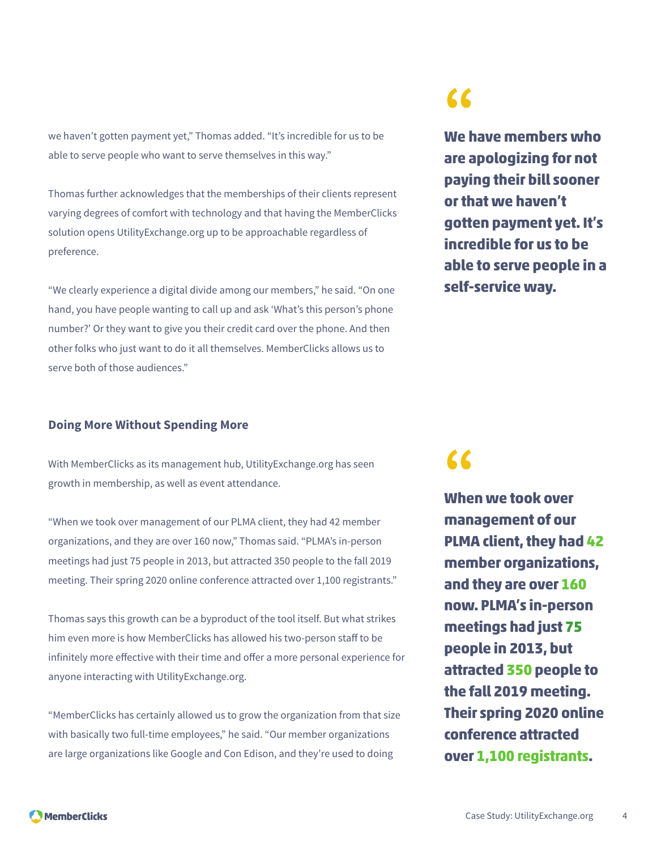we haven't gotten payment yet," Thomas added. "It's incredible for us to be able to serve people who want to serve themselves in this way."

Thomas further acknowledges that the memberships of their clients represent varying degrees of comfort with technology and that having the MemberClicks solution opens UtilityExchange.org up to be approachable regardless of preference.

"We clearly experience a digital divide among our members," he said. "On one hand, you have people wanting to call up and ask 'What's this person's phone number?' Or they want to give you their credit card over the phone. And then other folks who just want to do it all themselves. MemberClicks allows us to serve both of those audiences."

#### **Doing More Without Spending More**

With MemberClicks as its management hub, UtilityExchange.org has seen growth in membership, as well as event attendance.

"When we took over management of our PLMA client, they had 42 member organizations, and they are over 160 now," Thomas said. "PLMA's in-person meetings had just 75 people in 2013, but attracted 350 people to the fall 2019 meeting. Their spring 2020 online conference attracted over 1,100 registrants."

Thomas says this growth can be a byproduct of the tool itself. But what strikes him even more is how MemberClicks has allowed his two-person staff to be infinitely more effective with their time and offer a more personal experience for anyone interacting with UtilityExchange.org.

"MemberClicks has certainly allowed us to grow the organization from that size with basically two full-time employees," he said. "Our member organizations are large organizations like Google and Con Edison, and they're used to doing

## **"**

**We have members who are apologizing for not paying their bill sooner or that we haven't gotten payment yet. It's incredible for us to be able to serve people in a self-service way.**

**"**

**When we took over management of our PLMA client, they had 42 member organizations, and they are over 160 now. PLMA's in-person meetings had just 75 people in 2013, but attracted 350 people to the fall 2019 meeting. Their spring 2020 online conference attracted over 1,100 registrants.**